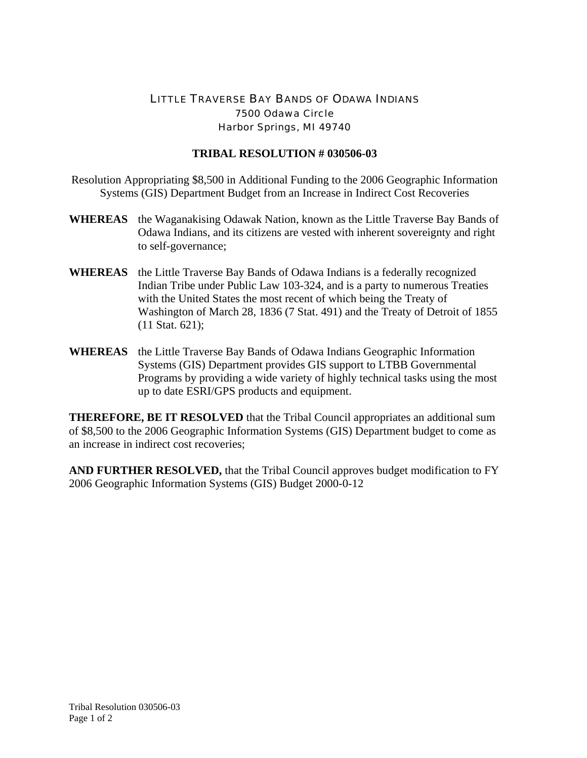## LITTLE TRAVERSE BAY BANDS OF ODAWA INDIANS 7500 Odawa Circle Harbor Springs, MI 49740

## **TRIBAL RESOLUTION # 030506-03**

Resolution Appropriating \$8,500 in Additional Funding to the 2006 Geographic Information Systems (GIS) Department Budget from an Increase in Indirect Cost Recoveries

- **WHEREAS** the Waganakising Odawak Nation, known as the Little Traverse Bay Bands of Odawa Indians, and its citizens are vested with inherent sovereignty and right to self-governance;
- **WHEREAS** the Little Traverse Bay Bands of Odawa Indians is a federally recognized Indian Tribe under Public Law 103-324, and is a party to numerous Treaties with the United States the most recent of which being the Treaty of Washington of March 28, 1836 (7 Stat. 491) and the Treaty of Detroit of 1855 (11 Stat. 621);
- **WHEREAS** the Little Traverse Bay Bands of Odawa Indians Geographic Information Systems (GIS) Department provides GIS support to LTBB Governmental Programs by providing a wide variety of highly technical tasks using the most up to date ESRI/GPS products and equipment.

**THEREFORE, BE IT RESOLVED** that the Tribal Council appropriates an additional sum of \$8,500 to the 2006 Geographic Information Systems (GIS) Department budget to come as an increase in indirect cost recoveries;

**AND FURTHER RESOLVED,** that the Tribal Council approves budget modification to FY 2006 Geographic Information Systems (GIS) Budget 2000-0-12